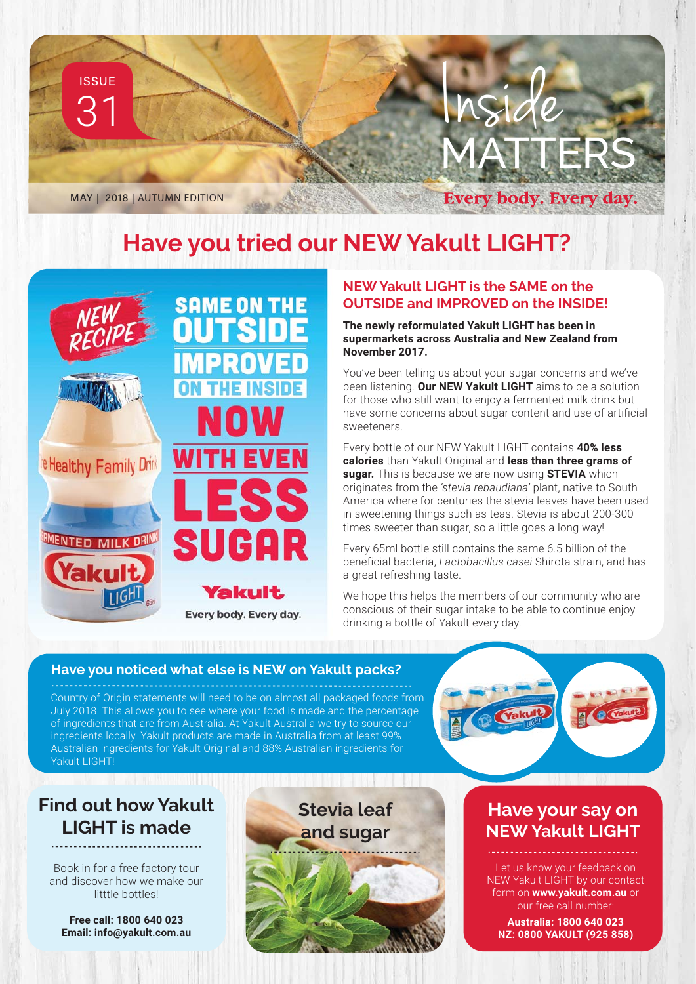

### **Have you tried our NEW Yakult LIGHT?**



#### **NEW Yakult LIGHT is the SAME on the OUTSIDE and IMPROVED on the INSIDE!**

**The newly reformulated Yakult LIGHT has been in supermarkets across Australia and New Zealand from November 2017.**

You've been telling us about your sugar concerns and we've been listening. **Our NEW Yakult LIGHT** aims to be a solution for those who still want to enjoy a fermented milk drink but have some concerns about sugar content and use of artificial sweeteners.

Every bottle of our NEW Yakult LIGHT contains **40% less calories** than Yakult Original and **less than three grams of sugar.** This is because we are now using **STEVIA** which originates from the *'stevia rebaudiana'* plant, native to South America where for centuries the stevia leaves have been used in sweetening things such as teas. Stevia is about 200-300 times sweeter than sugar, so a little goes a long way!

Every 65ml bottle still contains the same 6.5 billion of the beneficial bacteria, *Lactobacillus casei* Shirota strain, and has a great refreshing taste.

We hope this helps the members of our community who are conscious of their sugar intake to be able to continue enjoy drinking a bottle of Yakult every day.

#### **Have you noticed what else is NEW on Yakult packs?**

Country of Origin statements will need to be on almost all packaged foods from July 2018. This allows you to see where your food is made and the percentage of ingredients that are from Australia. At Yakult Australia we try to source our ingredients locally. Yakult products are made in Australia from at least 99% Australian ingredients for Yakult Original and 88% Australian ingredients for Yakult LIGHT!



### **Find out how Yakult LIGHT is made**

Book in for a free factory tour and discover how we make our litttle bottles!

**Free call: 1800 640 023 Email: info@yakult.com.au**



### **Have your say on NEW Yakult LIGHT**

Let us know your feedback on NEW Yakult LIGHT by our contact form on **www.yakult.com.au** or our free call number: **Australia: 1800 640 023 NZ: 0800 YAKULT (925 858)**